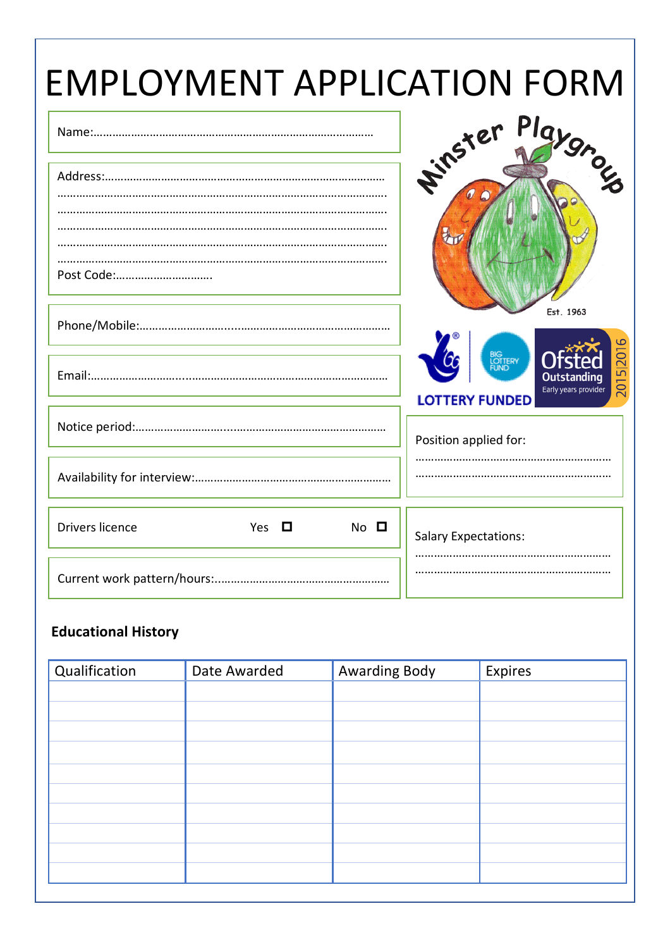| <b>EMPLOYMENT APPLICATION FORM</b>                     |                                                            |
|--------------------------------------------------------|------------------------------------------------------------|
|                                                        | PIa <sub>l</sub><br><b>Firster</b>                         |
|                                                        |                                                            |
| Post Code:                                             | Est. 1963                                                  |
|                                                        | BIG<br>LOTTERY<br>FUND                                     |
|                                                        | 2015 2016<br>Early years provider<br><b>LOTTERY FUNDED</b> |
|                                                        | Position applied for:                                      |
|                                                        |                                                            |
| <b>Drivers licence</b><br>Yes $\Box$<br>$No$ $\square$ | <b>Salary Expectations:</b>                                |
|                                                        |                                                            |

### **Educational History**

| Qualification | Date Awarded | <b>Awarding Body</b> | Expires |
|---------------|--------------|----------------------|---------|
|               |              |                      |         |
|               |              |                      |         |
|               |              |                      |         |
|               |              |                      |         |
|               |              |                      |         |
|               |              |                      |         |
|               |              |                      |         |
|               |              |                      |         |
|               |              |                      |         |
|               |              |                      |         |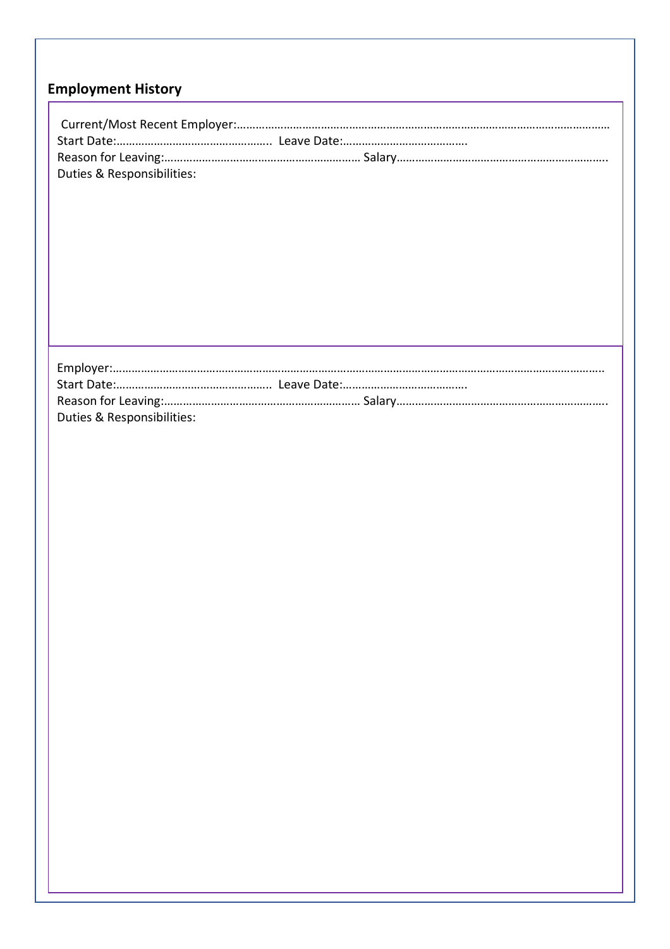# **Employment History**

| Duties & Responsibilities: |
|----------------------------|
|                            |
|                            |
|                            |
|                            |
|                            |
|                            |
|                            |
|                            |
|                            |
|                            |
|                            |
|                            |
|                            |
|                            |
|                            |
|                            |
|                            |
|                            |
|                            |
|                            |
| Duties & Responsibilities: |
|                            |
|                            |
|                            |
|                            |
|                            |
|                            |
|                            |
|                            |
|                            |
|                            |
|                            |
|                            |
|                            |
|                            |
|                            |
|                            |
|                            |
|                            |
|                            |
|                            |
|                            |
|                            |
|                            |
|                            |
|                            |
|                            |
|                            |
|                            |
|                            |
|                            |
|                            |
|                            |
|                            |
|                            |
|                            |
|                            |
|                            |
|                            |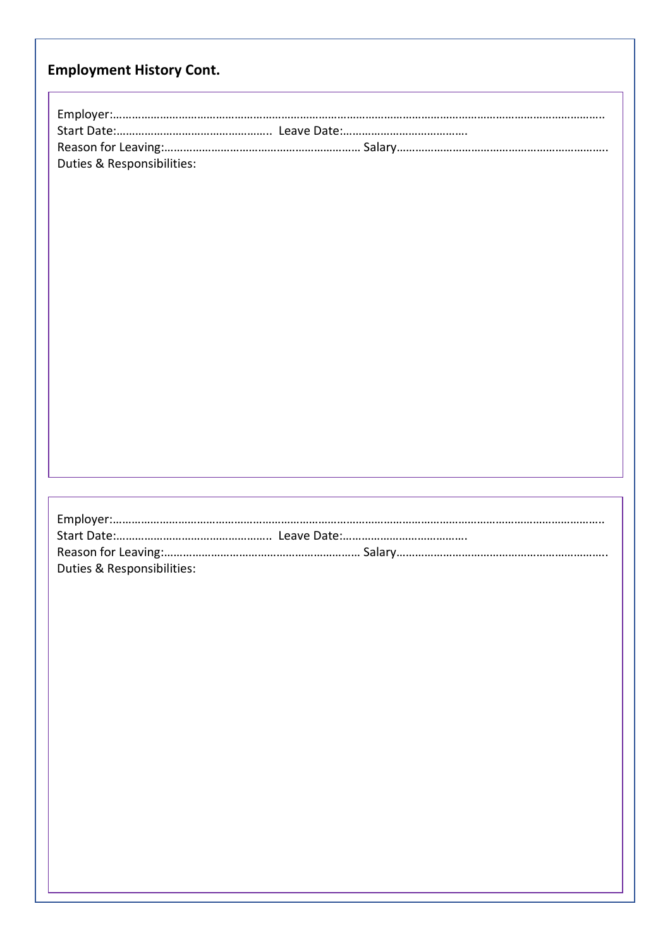## **Employment History Cont.**

| Duties & Responsibilities: |  |
|----------------------------|--|
|                            |  |
|                            |  |
|                            |  |
|                            |  |
|                            |  |
|                            |  |
|                            |  |
|                            |  |
|                            |  |
|                            |  |
|                            |  |
|                            |  |
|                            |  |
|                            |  |
|                            |  |
|                            |  |
|                            |  |
|                            |  |
|                            |  |
|                            |  |
|                            |  |
|                            |  |
| Duties & Responsibilities: |  |
|                            |  |
|                            |  |
|                            |  |
|                            |  |
|                            |  |
|                            |  |
|                            |  |
|                            |  |
|                            |  |
|                            |  |
|                            |  |
|                            |  |
|                            |  |
|                            |  |
|                            |  |
|                            |  |
|                            |  |
|                            |  |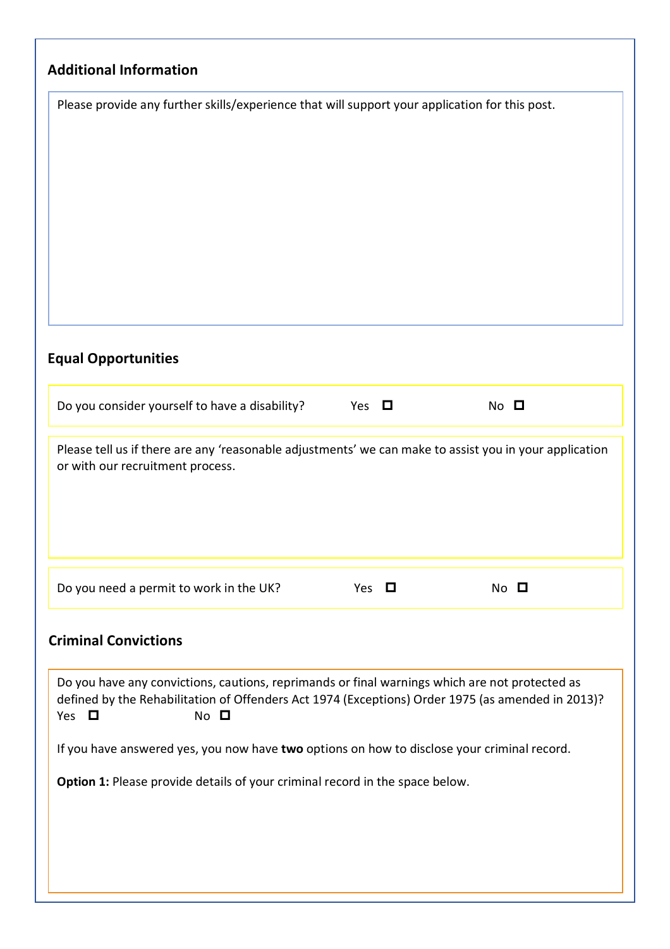| Please provide any further skills/experience that will support your application for this post.                                                                                                                                      |            |                |
|-------------------------------------------------------------------------------------------------------------------------------------------------------------------------------------------------------------------------------------|------------|----------------|
| <b>Equal Opportunities</b><br>Do you consider yourself to have a disability?                                                                                                                                                        | Yes $\Box$ | $No$ $\square$ |
|                                                                                                                                                                                                                                     |            |                |
| Please tell us if there are any 'reasonable adjustments' we can make to assist you in your application<br>or with our recruitment process.                                                                                          |            |                |
| Do you need a permit to work in the UK?                                                                                                                                                                                             | Yes $\Box$ | $No$ $\square$ |
| <b>Criminal Convictions</b>                                                                                                                                                                                                         |            |                |
| Do you have any convictions, cautions, reprimands or final warnings which are not protected as<br>defined by the Rehabilitation of Offenders Act 1974 (Exceptions) Order 1975 (as amended in 2013)?<br>$No$ $\square$<br>Yes $\Box$ |            |                |
| If you have answered yes, you now have two options on how to disclose your criminal record.                                                                                                                                         |            |                |